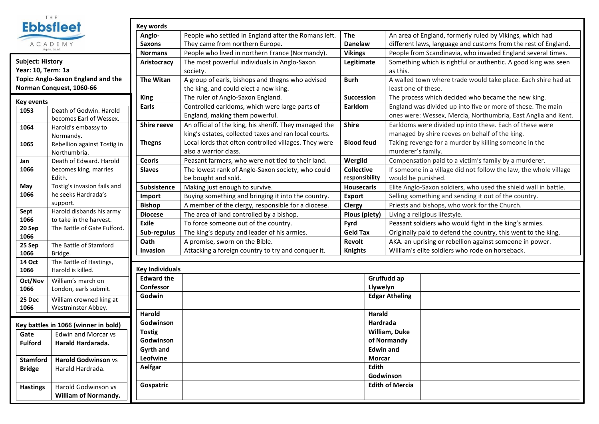

| <b>Key events</b> |                                      |  |  |  |  |
|-------------------|--------------------------------------|--|--|--|--|
| 1053              | Death of Godwin, Harold              |  |  |  |  |
|                   | becomes Earl of Wessex.              |  |  |  |  |
| 1064              | Harold's embassy to                  |  |  |  |  |
|                   | Normandy.                            |  |  |  |  |
| 1065              | Rebellion against Tostig in          |  |  |  |  |
|                   | Northumbria.                         |  |  |  |  |
| Jan               | Death of Edward, Harold              |  |  |  |  |
| 1066              | becomes king, marries                |  |  |  |  |
|                   | Edith.                               |  |  |  |  |
| Mav               | Tostig's invasion fails and          |  |  |  |  |
| 1066              | he seeks Hardrada's                  |  |  |  |  |
|                   | support.                             |  |  |  |  |
| Sept              | Harold disbands his army             |  |  |  |  |
| 1066              | to take in the harvest.              |  |  |  |  |
| 20 Sep            | The Battle of Gate Fulford.          |  |  |  |  |
| 1066              |                                      |  |  |  |  |
| 25 Sep            | The Battle of Stamford               |  |  |  |  |
| 1066              | Bridge.                              |  |  |  |  |
| 14 Oct            | The Battle of Hastings,              |  |  |  |  |
| 1066              | Harold is killed.                    |  |  |  |  |
| Oct/Nov           | William's march on                   |  |  |  |  |
| 1066              | London, earls submit.                |  |  |  |  |
| 25 Dec            | William crowned king at              |  |  |  |  |
| 1066              | Westminster Abbey.                   |  |  |  |  |
|                   |                                      |  |  |  |  |
|                   | Key battles in 1066 (winner in bold) |  |  |  |  |
| Gate              | <b>Edwin and Morcar vs</b>           |  |  |  |  |
| <b>Fulford</b>    | Harald Hardarada.                    |  |  |  |  |

|                                                                                                                                                                                                | <b>Ebbsfleet</b>                            | Key words              |                                                                 |                                     |                  |                                                                   |  |  |  |
|------------------------------------------------------------------------------------------------------------------------------------------------------------------------------------------------|---------------------------------------------|------------------------|-----------------------------------------------------------------|-------------------------------------|------------------|-------------------------------------------------------------------|--|--|--|
|                                                                                                                                                                                                |                                             | Anglo-                 | People who settled in England after the Romans left.<br>The     |                                     |                  | An area of England, formerly ruled by Vikings, which had          |  |  |  |
| ACADEMY<br>Saxons                                                                                                                                                                              |                                             |                        | They came from northern Europe.<br><b>Danelaw</b>               |                                     |                  | different laws, language and customs from the rest of England.    |  |  |  |
|                                                                                                                                                                                                | Aspire, Excel<br><b>Normans</b>             |                        | People who lived in northern France (Normandy).                 | <b>Vikings</b>                      |                  | People from Scandinavia, who invaded England several times.       |  |  |  |
| Subject: History<br>Aristocracy                                                                                                                                                                |                                             |                        | The most powerful individuals in Anglo-Saxon                    | Legitimate                          |                  | Something which is rightful or authentic. A good king was seen    |  |  |  |
| ear: 10, Term: 1a                                                                                                                                                                              |                                             |                        | society.                                                        |                                     |                  | as this.                                                          |  |  |  |
| <b>Topic: Anglo-Saxon England and the</b>                                                                                                                                                      |                                             | <b>The Witan</b>       | A group of earls, bishops and thegns who advised<br><b>Burh</b> |                                     |                  | A walled town where trade would take place. Each shire had at     |  |  |  |
| <b>Norman Conquest, 1060-66</b>                                                                                                                                                                |                                             |                        | the king, and could elect a new king.                           |                                     |                  | least one of these.                                               |  |  |  |
| <ey events<="" td=""><td><b>King</b></td><td>The ruler of Anglo-Saxon England.</td><td colspan="2">Succession</td><td colspan="3">The process which decided who became the new king.</td></ey> |                                             | <b>King</b>            | The ruler of Anglo-Saxon England.                               | Succession                          |                  | The process which decided who became the new king.                |  |  |  |
| 1053                                                                                                                                                                                           | Death of Godwin. Harold                     | Earls                  | Controlled earldoms, which were large parts of                  | Earldom                             |                  | England was divided up into five or more of these. The main       |  |  |  |
|                                                                                                                                                                                                | becomes Earl of Wessex.                     |                        | England, making them powerful.                                  |                                     |                  | ones were: Wessex, Mercia, Northumbria, East Anglia and Kent.     |  |  |  |
| 1064                                                                                                                                                                                           | Harold's embassy to                         | <b>Shire reeve</b>     | An official of the king, his sheriff. They managed the          | <b>Shire</b>                        |                  | Earldoms were divided up into these. Each of these were           |  |  |  |
|                                                                                                                                                                                                | Normandy.                                   |                        | king's estates, collected taxes and ran local courts.           |                                     |                  | managed by shire reeves on behalf of the king.                    |  |  |  |
| 1065                                                                                                                                                                                           | Rebellion against Tostig in                 | <b>Thegns</b>          | Local lords that often controlled villages. They were           | <b>Blood feud</b>                   |                  | Taking revenge for a murder by killing someone in the             |  |  |  |
|                                                                                                                                                                                                | Northumbria.                                |                        | also a warrior class.                                           |                                     |                  | murderer's family.                                                |  |  |  |
| Jan                                                                                                                                                                                            | Death of Edward. Harold                     | <b>Ceorls</b>          | Peasant farmers, who were not tied to their land.               | Wergild                             |                  | Compensation paid to a victim's family by a murderer.             |  |  |  |
| 1066                                                                                                                                                                                           | becomes king, marries                       | <b>Slaves</b>          | The lowest rank of Anglo-Saxon society, who could               | <b>Collective</b><br>responsibility |                  | If someone in a village did not follow the law, the whole village |  |  |  |
|                                                                                                                                                                                                | Edith.                                      |                        | be bought and sold.                                             |                                     |                  | would be punished.                                                |  |  |  |
| May<br>1066                                                                                                                                                                                    | Tostig's invasion fails and                 | Subsistence            | Making just enough to survive.                                  | <b>Housecarls</b>                   |                  | Elite Anglo-Saxon soldiers, who used the shield wall in battle.   |  |  |  |
|                                                                                                                                                                                                | he seeks Hardrada's                         | Import                 | Buying something and bringing it into the country.              | <b>Export</b>                       |                  | Selling something and sending it out of the country.              |  |  |  |
| Sept                                                                                                                                                                                           | support.<br>Harold disbands his army        | <b>Bishop</b>          | A member of the clergy, responsible for a diocese.              | <b>Clergy</b>                       |                  | Priests and bishops, who work for the Church.                     |  |  |  |
| 1066                                                                                                                                                                                           | to take in the harvest.                     | <b>Diocese</b>         | The area of land controlled by a bishop.                        | Pious (piety)                       |                  | Living a religious lifestyle.                                     |  |  |  |
| 20 Sep                                                                                                                                                                                         | The Battle of Gate Fulford.                 | <b>Exile</b>           | To force someone out of the country.                            | Fyrd<br><b>Geld Tax</b>             |                  | Peasant soldiers who would fight in the king's armies.            |  |  |  |
| 1066                                                                                                                                                                                           |                                             | Sub-regulus            | The king's deputy and leader of his armies.                     |                                     |                  | Originally paid to defend the country, this went to the king.     |  |  |  |
| 25 Sep                                                                                                                                                                                         | The Battle of Stamford                      | Oath                   | A promise, sworn on the Bible.                                  | Revolt                              |                  | AKA. an uprising or rebellion against someone in power.           |  |  |  |
| 1066                                                                                                                                                                                           | Bridge.                                     | Invasion               | Attacking a foreign country to try and conquer it.              | <b>Knights</b>                      |                  | William's elite soldiers who rode on horseback.                   |  |  |  |
| <b>14 Oct</b>                                                                                                                                                                                  | The Battle of Hastings,                     |                        |                                                                 |                                     |                  |                                                                   |  |  |  |
| 1066                                                                                                                                                                                           | Harold is killed.                           | <b>Key Individuals</b> |                                                                 |                                     |                  |                                                                   |  |  |  |
| Oct/Nov                                                                                                                                                                                        | William's march on                          | <b>Edward the</b>      |                                                                 |                                     |                  | Gruffudd ap                                                       |  |  |  |
| 1066                                                                                                                                                                                           | London, earls submit.                       | Confessor              |                                                                 |                                     |                  | Llywelyn                                                          |  |  |  |
| 25 Dec                                                                                                                                                                                         | William crowned king at                     | Godwin                 |                                                                 |                                     |                  | <b>Edgar Atheling</b>                                             |  |  |  |
| 1066                                                                                                                                                                                           | Westminster Abbey.                          |                        |                                                                 |                                     |                  |                                                                   |  |  |  |
|                                                                                                                                                                                                |                                             | Harold                 |                                                                 |                                     | Harald           |                                                                   |  |  |  |
| <b>Key battles in 1066 (winner in bold)</b>                                                                                                                                                    |                                             | Godwinson              |                                                                 |                                     |                  | Hardrada                                                          |  |  |  |
| Gate                                                                                                                                                                                           | <b>Tostig</b><br><b>Edwin and Morcar vs</b> |                        |                                                                 |                                     |                  | William, Duke                                                     |  |  |  |
| <b>Fulford</b>                                                                                                                                                                                 | Harald Hardarada.                           | Godwinson              |                                                                 |                                     |                  | of Normandy                                                       |  |  |  |
|                                                                                                                                                                                                |                                             | Gyrth and              |                                                                 |                                     | <b>Edwin and</b> |                                                                   |  |  |  |
| <b>Stamford</b>                                                                                                                                                                                | Harold Godwinson vs                         | Leofwine               |                                                                 |                                     | Morcar           |                                                                   |  |  |  |
| <b>Bridge</b>                                                                                                                                                                                  | Harald Hardrada.                            | Aelfgar                |                                                                 |                                     | Edith            |                                                                   |  |  |  |
|                                                                                                                                                                                                |                                             |                        |                                                                 |                                     | Godwinson        |                                                                   |  |  |  |
| Harold Godwinson vs<br><b>Hastings</b>                                                                                                                                                         |                                             | Gospatric              | <b>Edith of Mercia</b>                                          |                                     |                  |                                                                   |  |  |  |
|                                                                                                                                                                                                | William of Normandy.                        |                        |                                                                 |                                     |                  |                                                                   |  |  |  |